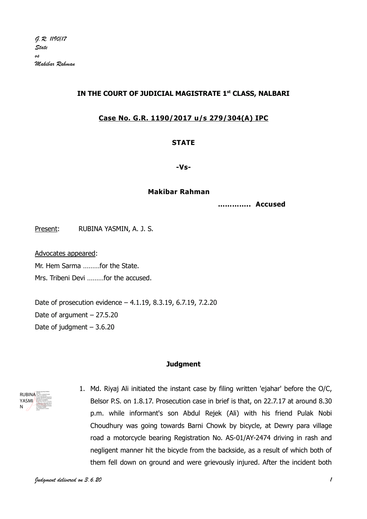# IN THE COURT OF JUDICIAL MAGISTRATE 1st CLASS, NALBARI

### Case No. G.R. 1190/2017 u/s 279/304(A) IPC

#### **STATE**

-Vs-

#### Makibar Rahman

………….. Accused

Present: RUBINA YASMIN, A. J. S.

Advocates appeared:

Mr. Hem Sarma ………for the State.

Mrs. Tribeni Devi ………for the accused.

Date of prosecution evidence – 4.1.19, 8.3.19, 6.7.19, 7.2.20 Date of argument  $-27.5.20$ Date of judgment – 3.6.20

#### **Judament**



1. Md. Riyaj Ali initiated the instant case by filing written 'ejahar' before the O/C, Belsor P.S. on 1.8.17. Prosecution case in brief is that, on 22.7.17 at around 8.30 p.m. while informant's son Abdul Rejek (Ali) with his friend Pulak Nobi Choudhury was going towards Barni Chowk by bicycle, at Dewry para village road a motorcycle bearing Registration No. AS-01/AY-2474 driving in rash and negligent manner hit the bicycle from the backside, as a result of which both of them fell down on ground and were grievously injured. After the incident both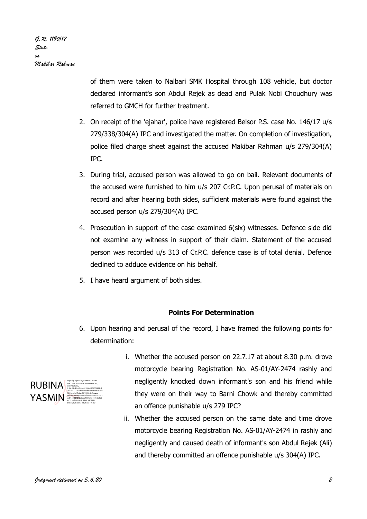of them were taken to Nalbari SMK Hospital through 108 vehicle, but doctor declared informant's son Abdul Rejek as dead and Pulak Nobi Choudhury was referred to GMCH for further treatment.

- 2. On receipt of the 'ejahar', police have registered Belsor P.S. case No. 146/17 u/s 279/338/304(A) IPC and investigated the matter. On completion of investigation, police filed charge sheet against the accused Makibar Rahman u/s 279/304(A) IPC.
- 3. During trial, accused person was allowed to go on bail. Relevant documents of the accused were furnished to him u/s 207 Cr.P.C. Upon perusal of materials on record and after hearing both sides, sufficient materials were found against the accused person u/s 279/304(A) IPC.
- 4. Prosecution in support of the case examined 6(six) witnesses. Defence side did not examine any witness in support of their claim. Statement of the accused person was recorded u/s 313 of Cr.P.C. defence case is of total denial. Defence declined to adduce evidence on his behalf.
- 5. I have heard argument of both sides.

# Points For Determination

6. Upon hearing and perusal of the record, I have framed the following points for determination:



- i. Whether the accused person on 22.7.17 at about 8.30 p.m. drove motorcycle bearing Registration No. AS-01/AY-2474 rashly and negligently knocked down informant's son and his friend while they were on their way to Barni Chowk and thereby committed an offence punishable u/s 279 IPC?
- ii. Whether the accused person on the same date and time drove motorcycle bearing Registration No. AS-01/AY-2474 in rashly and negligently and caused death of informant's son Abdul Rejek (Ali) and thereby committed an offence punishable u/s 304(A) IPC.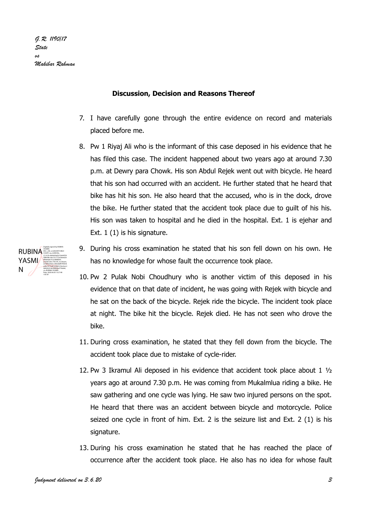#### Discussion, Decision and Reasons Thereof

- 7. I have carefully gone through the entire evidence on record and materials placed before me.
- 8. Pw 1 Riyaj Ali who is the informant of this case deposed in his evidence that he has filed this case. The incident happened about two years ago at around 7.30 p.m. at Dewry para Chowk. His son Abdul Rejek went out with bicycle. He heard that his son had occurred with an accident. He further stated that he heard that bike has hit his son. He also heard that the accused, who is in the dock, drove the bike. He further stated that the accident took place due to guilt of his his. His son was taken to hospital and he died in the hospital. Ext. 1 is ejehar and Ext. 1 (1) is his signature.



- 9. During his cross examination he stated that his son fell down on his own. He has no knowledge for whose fault the occurrence took place.
- 10. Pw 2 Pulak Nobi Choudhury who is another victim of this deposed in his evidence that on that date of incident, he was going with Rejek with bicycle and he sat on the back of the bicycle. Rejek ride the bicycle. The incident took place at night. The bike hit the bicycle. Rejek died. He has not seen who drove the bike.
- 11. During cross examination, he stated that they fell down from the bicycle. The accident took place due to mistake of cycle-rider.
- 12. Pw 3 Ikramul Ali deposed in his evidence that accident took place about 1 ½ years ago at around 7.30 p.m. He was coming from Mukalmlua riding a bike. He saw gathering and one cycle was lying. He saw two injured persons on the spot. He heard that there was an accident between bicycle and motorcycle. Police seized one cycle in front of him. Ext. 2 is the seizure list and Ext. 2 (1) is his signature.
- 13. During his cross examination he stated that he has reached the place of occurrence after the accident took place. He also has no idea for whose fault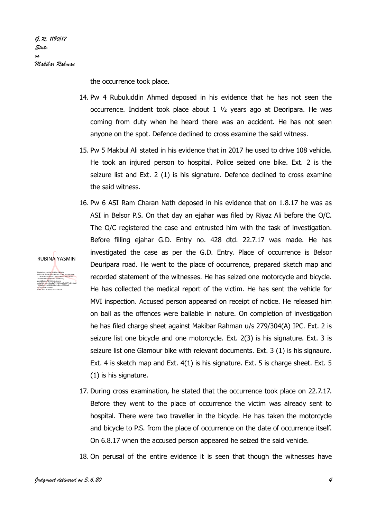RUBINA YASMIN

Digitally signed by RUBINA YASMIN DN: c=IN, o=GAUHATI HIGH COURT, ou=JUDICIAL,

2e3dee6206fb6e9ab15c2c96f83b9, postalCode=781335, st=Assam,

101be3eca1969202414ecb8b94a5756de8, cn=RUBINA YASMIN Date: 2020.06.03 13:28:34 +05'30'

the occurrence took place.

- 14. Pw 4 Rubuluddin Ahmed deposed in his evidence that he has not seen the occurrence. Incident took place about 1 ½ years ago at Deoripara. He was coming from duty when he heard there was an accident. He has not seen anyone on the spot. Defence declined to cross examine the said witness.
- 15. Pw 5 Makbul Ali stated in his evidence that in 2017 he used to drive 108 vehicle. He took an injured person to hospital. Police seized one bike. Ext. 2 is the seizure list and Ext. 2 (1) is his signature. Defence declined to cross examine the said witness.
- 16. Pw 6 ASI Ram Charan Nath deposed in his evidence that on 1.8.17 he was as ASI in Belsor P.S. On that day an ejahar was filed by Riyaz Ali before the O/C. The O/C registered the case and entrusted him with the task of investigation. Before filling ejahar G.D. Entry no. 428 dtd. 22.7.17 was made. He has investigated the case as per the G.D. Entry. Place of occurrence is Belsor Deuripara road. He went to the place of occurrence, prepared sketch map and recorded statement of the witnesses. He has seized one motorcycle and bicycle. He has collected the medical report of the victim. He has sent the vehicle for MVI inspection. Accused person appeared on receipt of notice. He released him on bail as the offences were bailable in nature. On completion of investigation he has filed charge sheet against Makibar Rahman u/s 279/304(A) IPC. Ext. 2 is seizure list one bicycle and one motorcycle. Ext. 2(3) is his signature. Ext. 3 is seizure list one Glamour bike with relevant documents. Ext. 3 (1) is his signaure. Ext. 4 is sketch map and Ext. 4(1) is his signature. Ext. 5 is charge sheet. Ext. 5 (1) is his signature. 2.5.4.20=4bdab3a65c32ebd5545f8939b136c15c777 serialNumber=58eabaf8793b36ed5e1977ed01e0dd
	- 17. During cross examination, he stated that the occurrence took place on 22.7.17. Before they went to the place of occurrence the victim was already sent to hospital. There were two traveller in the bicycle. He has taken the motorcycle and bicycle to P.S. from the place of occurrence on the date of occurrence itself. On 6.8.17 when the accused person appeared he seized the said vehicle.

18. On perusal of the entire evidence it is seen that though the witnesses have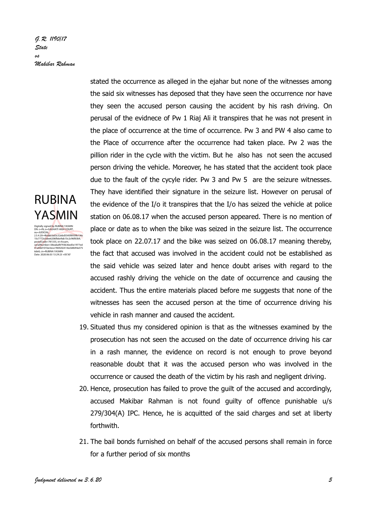G.R. 1190/17 State us Makibar Rahman

# RUBINA YASMIN

Digitally signed <mark>b</mark>y RUBINA YASMIN<br>DN: c=IN, o=G**A**UHATI HIGH COURT, ou=JUDICIAL,<br>2.5.4.20=4bdab3a65c32ebd5545f8939b136c<br>15c7772e3dee6206fb6e9ab15c2c96f83b9, p<br>postalCode=781335, st=Assam, serialNumber=58eabaf8793b36ed5e1977ed 01e0dd101be3eca1969202414ecb8b94a575 6de8, cn=RUBINA YASMIN Date: 2020.06.03 13:29:23 +05'30'

stated the occurrence as alleged in the ejahar but none of the witnesses among the said six witnesses has deposed that they have seen the occurrence nor have they seen the accused person causing the accident by his rash driving. On perusal of the evidnece of Pw 1 Riaj Ali it transpires that he was not present in the place of occurrence at the time of occurrence. Pw 3 and PW 4 also came to the Place of occurrence after the occurrence had taken place. Pw 2 was the pillion rider in the cycle with the victim. But he also has not seen the accused person driving the vehicle. Moreover, he has stated that the accident took place due to the fault of the cycyle rider. Pw 3 and Pw 5 are the seizure witnesses. They have identified their signature in the seizure list. However on perusal of the evidence of the I/o it transpires that the I/o has seized the vehicle at police station on 06.08.17 when the accused person appeared. There is no mention of place or date as to when the bike was seized in the seizure list. The occurrence took place on 22.07.17 and the bike was seized on 06.08.17 meaning thereby, the fact that accused was involved in the accident could not be established as the said vehicle was seized later and hence doubt arises with regard to the accused rashly driving the vehicle on the date of occurrence and causing the accident. Thus the entire materials placed before me suggests that none of the witnesses has seen the accused person at the time of occurrence driving his vehicle in rash manner and caused the accident.

- 19. Situated thus my considered opinion is that as the witnesses examined by the prosecution has not seen the accused on the date of occurrence driving his car in a rash manner, the evidence on record is not enough to prove beyond reasonable doubt that it was the accused person who was involved in the occurrence or caused the death of the victim by his rash and negligent driving.
- 20. Hence, prosecution has failed to prove the guilt of the accused and accordingly, accused Makibar Rahman is not found guilty of offence punishable u/s 279/304(A) IPC. Hence, he is acquitted of the said charges and set at liberty forthwith.
- 21. The bail bonds furnished on behalf of the accused persons shall remain in force for a further period of six months